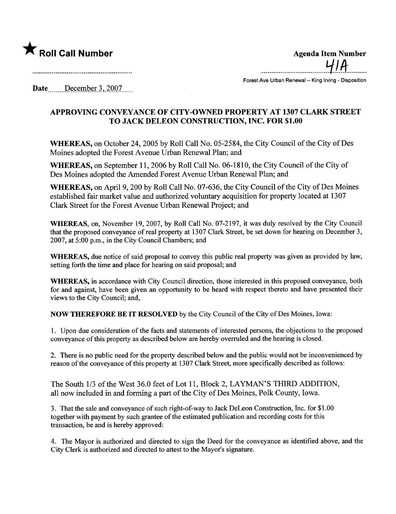

 $\star$  Roll Call Number Agenda Item Number Agenda Item Number  $4/14$ ...................................~I.A-..........

Forest Ave Urban Renewal - King Irving - Disposition

Date....... December 3, 2007

## APPROVING CONVEYANCE OF CITY -OWNED PROPERTY AT 1307 CLARK STREET TO JACK DELEON CONSTRUCTION, INC. FOR \$1.00

WHEREAS, on October 24, 2005 by Roll Call No. 05-2584, the City Council of the City of Des Moines adopted the Forest Avenue Urban Renewal Plan; and

WHEREAS, on September 11, 2006 by Roll Call No. 06-1810, the City Council of the City of Des Moines adopted the Amended Forest Avenue Urban Renewal Plan; and

WHEREAS, on April 9, 200 by Roll Call No. 07-636, the City Council of the City of Des Moines established fair market value and authorized voluntary acquisition for property located at 1307 Clark Street for the Forest Avenue Urban Renewal Project; and

WHEREAS, on, November 19,2007, by Roll Call No. 07-2197, it was duly resolved by the City Council that the proposed conveyance of real property at 1307 Clark Street, be set down for hearing on December 3, 2007, at 5:00 p.m., in the City Council Chambers; and

WHEREAS, due notice of said proposal to convey this public real property was given as provided by law, setting forth the time and place for hearing on said proposal; and

WHEREAS, in accordance with City Council direction, those interested in this proposed conveyance, both for and against, have been given an opportunity to be heard with respect thereto and have presented their views to the City Council; and,

NOW THEREFORE BE IT RESOLVED by the City Council of the City of Des Moines, Iowa:

1. Upon due consideration of the facts and statements of interested persons, the objections to the proposed conveyance of this property as described below are hereby overruled and the hearing is closed.

2. There is no public need for the property described below and the public would not be inconvenienced by reason of the conveyance of this property at 1307 Clark Street, more specifically described as follows:

The South 1/3 of the West 36.0 feet of Lot 11, Block 2, LAYMAN'S THIRD ADDITION, all now included in and forming a part of the City of Des Moines, Polk County, Iowa.

3. That the sale and conveyance of such right-of-way to Jack DeLeon Construction, Inc. for \$1.00 together with payment by such grantee of the estimated publication and recording costs for this transaction, be and is hereby approved:

4. The Mayor is authorized and directed to sign the Deed for the conveyance as identified above, and the City Clerk is authorized and directed to attest to the Mayor's signature.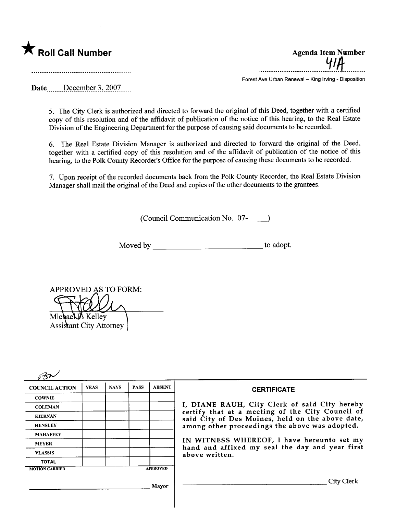

....................................~.lft...........

Forest Ave Urban Renewal - King Irving - Disposition

Date  $\frac{\text{December 3, 2007}}{\text{December 3, 2007}}$ 

5. The City Clerk is authorized and directed to forward the original of this Deed, together with a certified copy of this resolution and of the affdavit of publication of the notice of this hearing, to the Real Estate Division of the Engineering Department for the purpose of causing said documents to be recorded.

6. The Real Estate Division Manager is authorized and directed to forward the original of the Deed, together with a certified copy of this resolution and of the affdavit of publication of the notice of this hearing, to the Polk County Recorder's Office for the purpose of causing these documents to be recorded.

7. Upon receipt of the recorded documents back from the Polk County Recorder, the Real Estate Division Manager shall mail the original of the Deed and copies of the other documents to the grantees.

(Council Communication No. 07-

Moved by to adopt.

APPROVED AS TO FORM: Michael Kelley **Assistant City Attorney** 

| <b>COUNCIL ACTION</b> | <b>YEAS</b> | <b>NAYS</b> | <b>PASS</b> | <b>ABSENT</b>   | <b>CERTIFICATE</b>                                                                                                                                                                                                                                                                                                         |
|-----------------------|-------------|-------------|-------------|-----------------|----------------------------------------------------------------------------------------------------------------------------------------------------------------------------------------------------------------------------------------------------------------------------------------------------------------------------|
| <b>COWNIE</b>         |             |             |             |                 |                                                                                                                                                                                                                                                                                                                            |
| <b>COLEMAN</b>        |             |             |             |                 | I, DIANE RAUH, City Clerk of said City hereby<br>certify that at a meeting of the City Council of<br>said City of Des Moines, held on the above date,<br>among other proceedings the above was adopted.<br>IN WITNESS WHEREOF, I have hereunto set my<br>hand and affixed my seal the day and year first<br>above written. |
| <b>KIERNAN</b>        |             |             |             |                 |                                                                                                                                                                                                                                                                                                                            |
| <b>HENSLEY</b>        |             |             |             |                 |                                                                                                                                                                                                                                                                                                                            |
| <b>MAHAFFEY</b>       |             |             |             |                 |                                                                                                                                                                                                                                                                                                                            |
| <b>MEYER</b>          |             |             |             |                 |                                                                                                                                                                                                                                                                                                                            |
| <b>VLASSIS</b>        |             |             |             |                 |                                                                                                                                                                                                                                                                                                                            |
| <b>TOTAL</b>          |             |             |             |                 |                                                                                                                                                                                                                                                                                                                            |
| <b>MOTION CARRIED</b> |             |             |             | <b>APPROVED</b> |                                                                                                                                                                                                                                                                                                                            |
|                       |             |             |             | Mayor           | City Clerk                                                                                                                                                                                                                                                                                                                 |